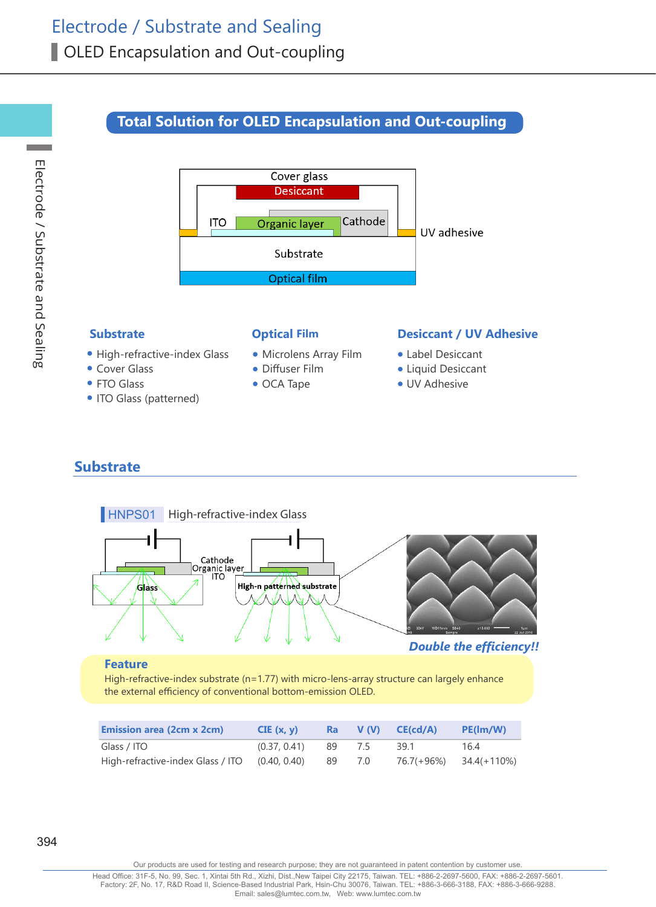# **Total Solution for OLED Encapsulation and Out-coupling**



- High-refractive-index Glass
- Cover Glass
- FTO Glass
- ITO Glass (patterned)
- Microlens Array Film
- Diffuser Film
- OCA Tape

### **Substrate Optical Film Desiccant / UV Adhesive**

- Label Desiccant
- Liquid Desiccant
- UV Adhesive

## **Substrate**



### **Feature**

High-refractive-index substrate (n=1.77) with micro-lens-array structure can largely enhance the external efficiency of conventional bottom-emission OLED.

| <b>Emission area (2cm x 2cm)</b>  | CIE(x, y)    | Ra  | V <sub>(V)</sub> | CE(cd/A) | PE(lm/W)                   |
|-----------------------------------|--------------|-----|------------------|----------|----------------------------|
| Glass / ITO                       | (0.37, 0.41) | -89 | 7.5              | 39.1     | 16.4                       |
| High-refractive-index Glass / ITO | (0.40, 0.40) | 89  | 7.0              |          | $76.7(+96%)$ $34.4(+110%)$ |

**Contract** 

394

Our products are used for testing and research purpose; they are not guaranteed in patent contention by customer use.

Head Office: 31F-5, No. 99, Sec. 1, Xintai 5th Rd., Xizhi, Dist.,New Taipei City 22175, Taiwan. TEL: +886-2-2697-5600, FAX: +886-2-2697-5601. Factory: 2F, No. 17, R&D Road II, Science-Based Industrial Park, Hsin-Chu 30076, Taiwan. TEL: +886-3-666-3188, FAX: +886-3-666-9288. Email: sales@lumtec.com.tw, Web: www.lumtec.com.tw